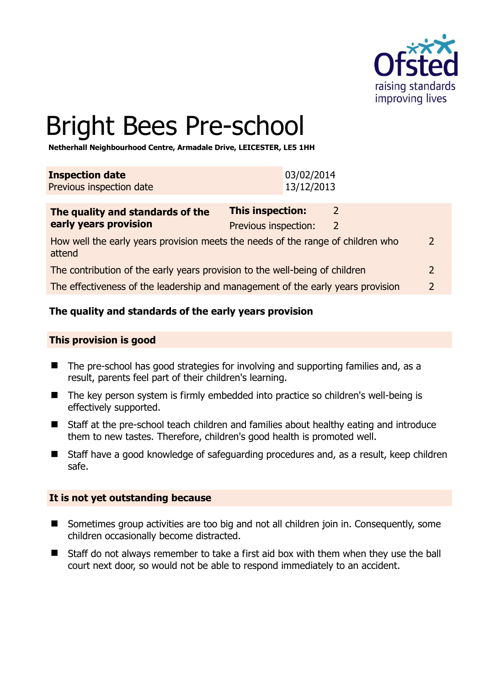

# Bright Bees Pre-school

**Netherhall Neighbourhood Centre, Armadale Drive, LEICESTER, LE5 1HH** 

| <b>Inspection date</b>   | 03/02/2014 |
|--------------------------|------------|
| Previous inspection date | 13/12/2013 |

| The quality and standards of the                                                          | <b>This inspection:</b> |   |               |
|-------------------------------------------------------------------------------------------|-------------------------|---|---------------|
| early years provision                                                                     | Previous inspection:    | 2 |               |
| How well the early years provision meets the needs of the range of children who<br>attend |                         |   | $\mathcal{P}$ |
| The contribution of the early years provision to the well-being of children               |                         |   |               |
| The effectiveness of the leadership and management of the early years provision           |                         |   | $\mathcal{P}$ |

# **The quality and standards of the early years provision**

#### **This provision is good**

- The pre-school has good strategies for involving and supporting families and, as a result, parents feel part of their children's learning.
- The key person system is firmly embedded into practice so children's well-being is effectively supported.
- Staff at the pre-school teach children and families about healthy eating and introduce them to new tastes. Therefore, children's good health is promoted well.
- Staff have a good knowledge of safeguarding procedures and, as a result, keep children safe.

#### **It is not yet outstanding because**

- Sometimes group activities are too big and not all children join in. Consequently, some children occasionally become distracted.
- Staff do not always remember to take a first aid box with them when they use the ball court next door, so would not be able to respond immediately to an accident.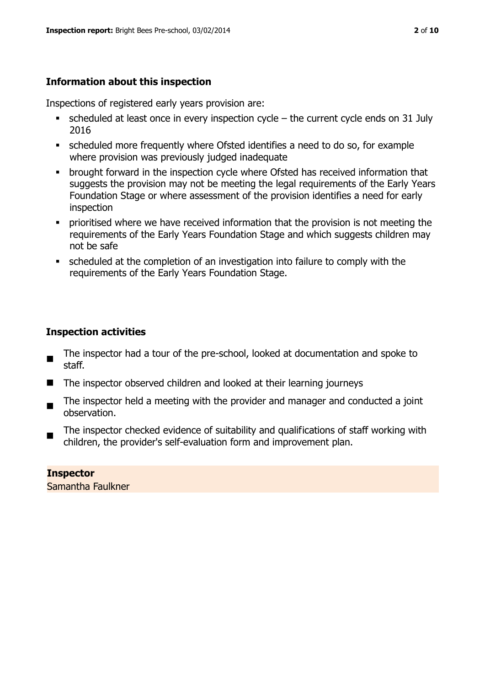# **Information about this inspection**

Inspections of registered early years provision are:

- $\bullet$  scheduled at least once in every inspection cycle the current cycle ends on 31 July 2016
- scheduled more frequently where Ofsted identifies a need to do so, for example where provision was previously judged inadequate
- **•** brought forward in the inspection cycle where Ofsted has received information that suggests the provision may not be meeting the legal requirements of the Early Years Foundation Stage or where assessment of the provision identifies a need for early inspection
- **•** prioritised where we have received information that the provision is not meeting the requirements of the Early Years Foundation Stage and which suggests children may not be safe
- scheduled at the completion of an investigation into failure to comply with the requirements of the Early Years Foundation Stage.

# **Inspection activities**

- The inspector had a tour of the pre-school, looked at documentation and spoke to staff.
- The inspector observed children and looked at their learning journeys
- The inspector held a meeting with the provider and manager and conducted a joint observation.
- The inspector checked evidence of suitability and qualifications of staff working with children, the provider's self-evaluation form and improvement plan.

#### **Inspector**  Samantha Faulkner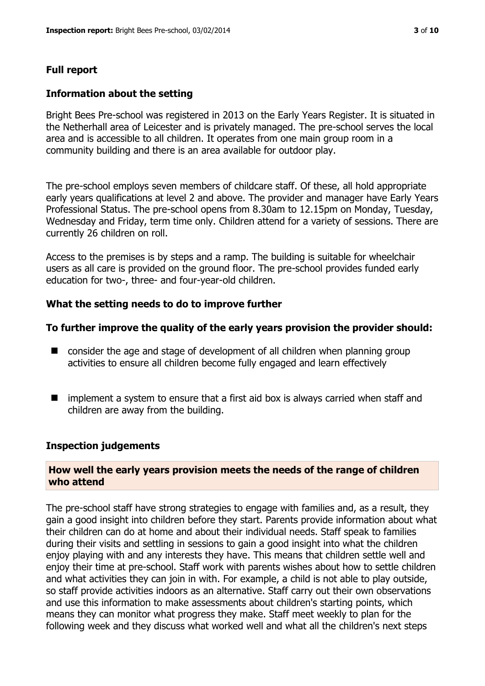#### **Full report**

#### **Information about the setting**

Bright Bees Pre-school was registered in 2013 on the Early Years Register. It is situated in the Netherhall area of Leicester and is privately managed. The pre-school serves the local area and is accessible to all children. It operates from one main group room in a community building and there is an area available for outdoor play.

The pre-school employs seven members of childcare staff. Of these, all hold appropriate early years qualifications at level 2 and above. The provider and manager have Early Years Professional Status. The pre-school opens from 8.30am to 12.15pm on Monday, Tuesday, Wednesday and Friday, term time only. Children attend for a variety of sessions. There are currently 26 children on roll.

Access to the premises is by steps and a ramp. The building is suitable for wheelchair users as all care is provided on the ground floor. The pre-school provides funded early education for two-, three- and four-year-old children.

#### **What the setting needs to do to improve further**

#### **To further improve the quality of the early years provision the provider should:**

- consider the age and stage of development of all children when planning group activities to ensure all children become fully engaged and learn effectively
- $\blacksquare$  implement a system to ensure that a first aid box is always carried when staff and children are away from the building.

#### **Inspection judgements**

#### **How well the early years provision meets the needs of the range of children who attend**

The pre-school staff have strong strategies to engage with families and, as a result, they gain a good insight into children before they start. Parents provide information about what their children can do at home and about their individual needs. Staff speak to families during their visits and settling in sessions to gain a good insight into what the children enjoy playing with and any interests they have. This means that children settle well and enjoy their time at pre-school. Staff work with parents wishes about how to settle children and what activities they can join in with. For example, a child is not able to play outside, so staff provide activities indoors as an alternative. Staff carry out their own observations and use this information to make assessments about children's starting points, which means they can monitor what progress they make. Staff meet weekly to plan for the following week and they discuss what worked well and what all the children's next steps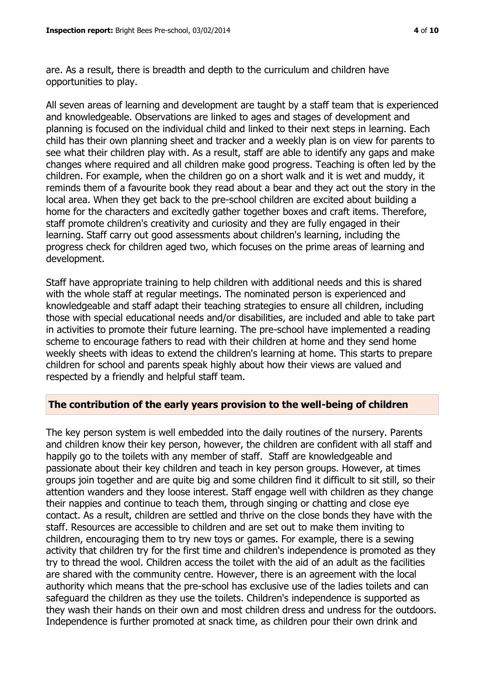are. As a result, there is breadth and depth to the curriculum and children have opportunities to play.

All seven areas of learning and development are taught by a staff team that is experienced and knowledgeable. Observations are linked to ages and stages of development and planning is focused on the individual child and linked to their next steps in learning. Each child has their own planning sheet and tracker and a weekly plan is on view for parents to see what their children play with. As a result, staff are able to identify any gaps and make changes where required and all children make good progress. Teaching is often led by the children. For example, when the children go on a short walk and it is wet and muddy, it reminds them of a favourite book they read about a bear and they act out the story in the local area. When they get back to the pre-school children are excited about building a home for the characters and excitedly gather together boxes and craft items. Therefore, staff promote children's creativity and curiosity and they are fully engaged in their learning. Staff carry out good assessments about children's learning, including the progress check for children aged two, which focuses on the prime areas of learning and development.

Staff have appropriate training to help children with additional needs and this is shared with the whole staff at regular meetings. The nominated person is experienced and knowledgeable and staff adapt their teaching strategies to ensure all children, including those with special educational needs and/or disabilities, are included and able to take part in activities to promote their future learning. The pre-school have implemented a reading scheme to encourage fathers to read with their children at home and they send home weekly sheets with ideas to extend the children's learning at home. This starts to prepare children for school and parents speak highly about how their views are valued and respected by a friendly and helpful staff team.

# **The contribution of the early years provision to the well-being of children**

The key person system is well embedded into the daily routines of the nursery. Parents and children know their key person, however, the children are confident with all staff and happily go to the toilets with any member of staff. Staff are knowledgeable and passionate about their key children and teach in key person groups. However, at times groups join together and are quite big and some children find it difficult to sit still, so their attention wanders and they loose interest. Staff engage well with children as they change their nappies and continue to teach them, through singing or chatting and close eye contact. As a result, children are settled and thrive on the close bonds they have with the staff. Resources are accessible to children and are set out to make them inviting to children, encouraging them to try new toys or games. For example, there is a sewing activity that children try for the first time and children's independence is promoted as they try to thread the wool. Children access the toilet with the aid of an adult as the facilities are shared with the community centre. However, there is an agreement with the local authority which means that the pre-school has exclusive use of the ladies toilets and can safeguard the children as they use the toilets. Children's independence is supported as they wash their hands on their own and most children dress and undress for the outdoors. Independence is further promoted at snack time, as children pour their own drink and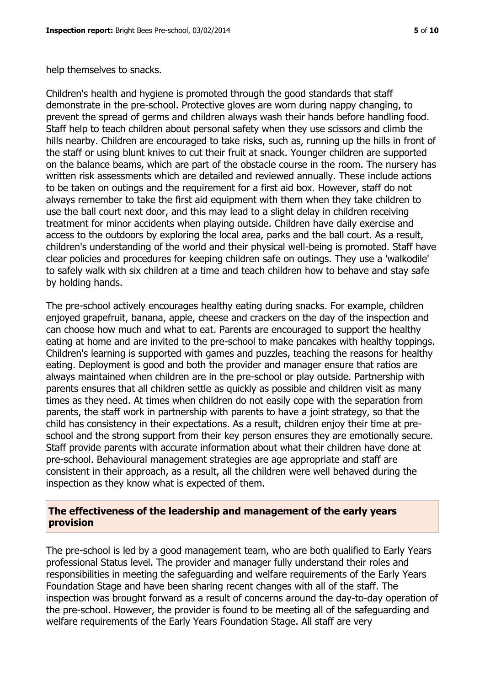help themselves to snacks.

Children's health and hygiene is promoted through the good standards that staff demonstrate in the pre-school. Protective gloves are worn during nappy changing, to prevent the spread of germs and children always wash their hands before handling food. Staff help to teach children about personal safety when they use scissors and climb the hills nearby. Children are encouraged to take risks, such as, running up the hills in front of the staff or using blunt knives to cut their fruit at snack. Younger children are supported on the balance beams, which are part of the obstacle course in the room. The nursery has written risk assessments which are detailed and reviewed annually. These include actions to be taken on outings and the requirement for a first aid box. However, staff do not always remember to take the first aid equipment with them when they take children to use the ball court next door, and this may lead to a slight delay in children receiving treatment for minor accidents when playing outside. Children have daily exercise and access to the outdoors by exploring the local area, parks and the ball court. As a result, children's understanding of the world and their physical well-being is promoted. Staff have clear policies and procedures for keeping children safe on outings. They use a 'walkodile' to safely walk with six children at a time and teach children how to behave and stay safe by holding hands.

The pre-school actively encourages healthy eating during snacks. For example, children enjoyed grapefruit, banana, apple, cheese and crackers on the day of the inspection and can choose how much and what to eat. Parents are encouraged to support the healthy eating at home and are invited to the pre-school to make pancakes with healthy toppings. Children's learning is supported with games and puzzles, teaching the reasons for healthy eating. Deployment is good and both the provider and manager ensure that ratios are always maintained when children are in the pre-school or play outside. Partnership with parents ensures that all children settle as quickly as possible and children visit as many times as they need. At times when children do not easily cope with the separation from parents, the staff work in partnership with parents to have a joint strategy, so that the child has consistency in their expectations. As a result, children enjoy their time at preschool and the strong support from their key person ensures they are emotionally secure. Staff provide parents with accurate information about what their children have done at pre-school. Behavioural management strategies are age appropriate and staff are consistent in their approach, as a result, all the children were well behaved during the inspection as they know what is expected of them.

# **The effectiveness of the leadership and management of the early years provision**

The pre-school is led by a good management team, who are both qualified to Early Years professional Status level. The provider and manager fully understand their roles and responsibilities in meeting the safeguarding and welfare requirements of the Early Years Foundation Stage and have been sharing recent changes with all of the staff. The inspection was brought forward as a result of concerns around the day-to-day operation of the pre-school. However, the provider is found to be meeting all of the safeguarding and welfare requirements of the Early Years Foundation Stage. All staff are very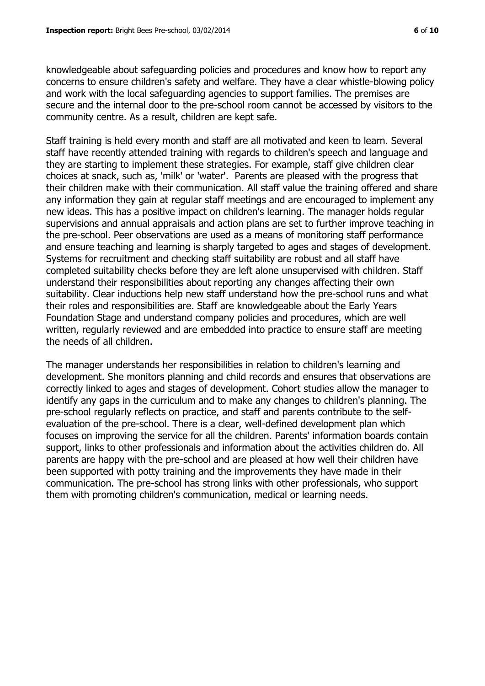knowledgeable about safeguarding policies and procedures and know how to report any concerns to ensure children's safety and welfare. They have a clear whistle-blowing policy and work with the local safeguarding agencies to support families. The premises are secure and the internal door to the pre-school room cannot be accessed by visitors to the community centre. As a result, children are kept safe.

Staff training is held every month and staff are all motivated and keen to learn. Several staff have recently attended training with regards to children's speech and language and they are starting to implement these strategies. For example, staff give children clear choices at snack, such as, 'milk' or 'water'. Parents are pleased with the progress that their children make with their communication. All staff value the training offered and share any information they gain at regular staff meetings and are encouraged to implement any new ideas. This has a positive impact on children's learning. The manager holds regular supervisions and annual appraisals and action plans are set to further improve teaching in the pre-school. Peer observations are used as a means of monitoring staff performance and ensure teaching and learning is sharply targeted to ages and stages of development. Systems for recruitment and checking staff suitability are robust and all staff have completed suitability checks before they are left alone unsupervised with children. Staff understand their responsibilities about reporting any changes affecting their own suitability. Clear inductions help new staff understand how the pre-school runs and what their roles and responsibilities are. Staff are knowledgeable about the Early Years Foundation Stage and understand company policies and procedures, which are well written, regularly reviewed and are embedded into practice to ensure staff are meeting the needs of all children.

The manager understands her responsibilities in relation to children's learning and development. She monitors planning and child records and ensures that observations are correctly linked to ages and stages of development. Cohort studies allow the manager to identify any gaps in the curriculum and to make any changes to children's planning. The pre-school regularly reflects on practice, and staff and parents contribute to the selfevaluation of the pre-school. There is a clear, well-defined development plan which focuses on improving the service for all the children. Parents' information boards contain support, links to other professionals and information about the activities children do. All parents are happy with the pre-school and are pleased at how well their children have been supported with potty training and the improvements they have made in their communication. The pre-school has strong links with other professionals, who support them with promoting children's communication, medical or learning needs.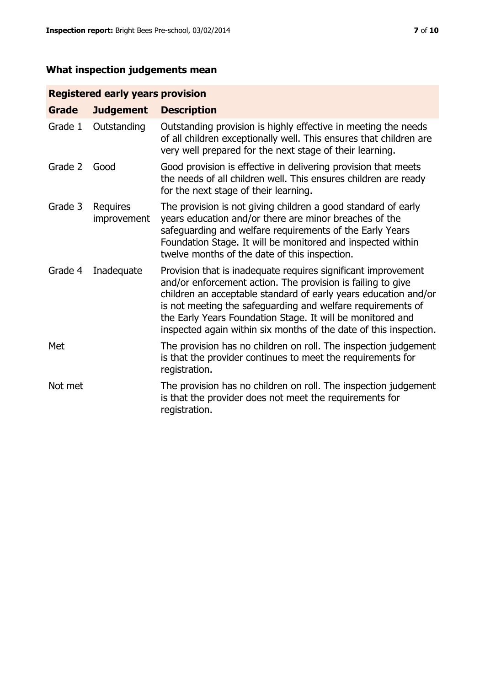# **What inspection judgements mean**

# **Registered early years provision**

| <b>Grade</b> | <b>Judgement</b>        | <b>Description</b>                                                                                                                                                                                                                                                                                                                                                                                |
|--------------|-------------------------|---------------------------------------------------------------------------------------------------------------------------------------------------------------------------------------------------------------------------------------------------------------------------------------------------------------------------------------------------------------------------------------------------|
| Grade 1      | Outstanding             | Outstanding provision is highly effective in meeting the needs<br>of all children exceptionally well. This ensures that children are<br>very well prepared for the next stage of their learning.                                                                                                                                                                                                  |
| Grade 2      | Good                    | Good provision is effective in delivering provision that meets<br>the needs of all children well. This ensures children are ready<br>for the next stage of their learning.                                                                                                                                                                                                                        |
| Grade 3      | Requires<br>improvement | The provision is not giving children a good standard of early<br>years education and/or there are minor breaches of the<br>safeguarding and welfare requirements of the Early Years<br>Foundation Stage. It will be monitored and inspected within<br>twelve months of the date of this inspection.                                                                                               |
| Grade 4      | Inadequate              | Provision that is inadequate requires significant improvement<br>and/or enforcement action. The provision is failing to give<br>children an acceptable standard of early years education and/or<br>is not meeting the safeguarding and welfare requirements of<br>the Early Years Foundation Stage. It will be monitored and<br>inspected again within six months of the date of this inspection. |
| Met          |                         | The provision has no children on roll. The inspection judgement<br>is that the provider continues to meet the requirements for<br>registration.                                                                                                                                                                                                                                                   |
| Not met      |                         | The provision has no children on roll. The inspection judgement<br>is that the provider does not meet the requirements for<br>registration.                                                                                                                                                                                                                                                       |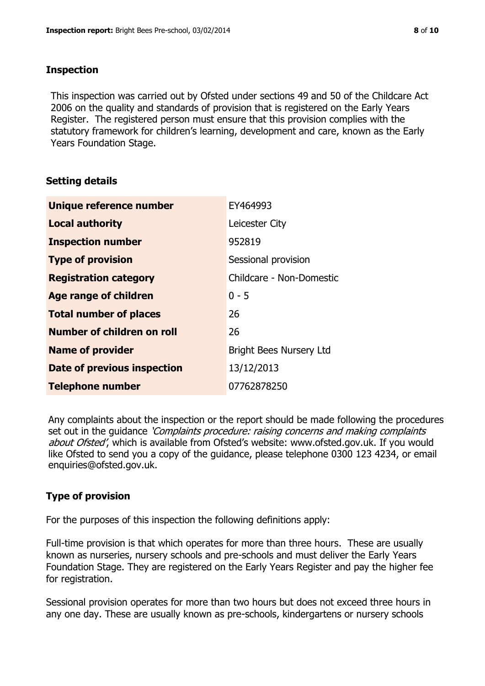### **Inspection**

This inspection was carried out by Ofsted under sections 49 and 50 of the Childcare Act 2006 on the quality and standards of provision that is registered on the Early Years Register. The registered person must ensure that this provision complies with the statutory framework for children's learning, development and care, known as the Early Years Foundation Stage.

# **Setting details**

| Unique reference number            | EY464993                       |
|------------------------------------|--------------------------------|
| <b>Local authority</b>             | Leicester City                 |
| <b>Inspection number</b>           | 952819                         |
| <b>Type of provision</b>           | Sessional provision            |
| <b>Registration category</b>       | Childcare - Non-Domestic       |
| <b>Age range of children</b>       | $0 - 5$                        |
| <b>Total number of places</b>      | 26                             |
| Number of children on roll         | 26                             |
| <b>Name of provider</b>            | <b>Bright Bees Nursery Ltd</b> |
| <b>Date of previous inspection</b> | 13/12/2013                     |
| <b>Telephone number</b>            | 07762878250                    |

Any complaints about the inspection or the report should be made following the procedures set out in the guidance *'Complaints procedure: raising concerns and making complaints* about Ofsted', which is available from Ofsted's website: www.ofsted.gov.uk. If you would like Ofsted to send you a copy of the guidance, please telephone 0300 123 4234, or email enquiries@ofsted.gov.uk.

# **Type of provision**

For the purposes of this inspection the following definitions apply:

Full-time provision is that which operates for more than three hours. These are usually known as nurseries, nursery schools and pre-schools and must deliver the Early Years Foundation Stage. They are registered on the Early Years Register and pay the higher fee for registration.

Sessional provision operates for more than two hours but does not exceed three hours in any one day. These are usually known as pre-schools, kindergartens or nursery schools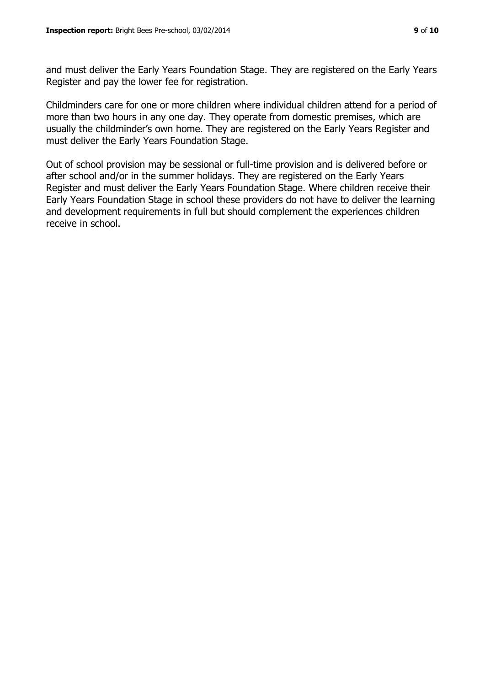and must deliver the Early Years Foundation Stage. They are registered on the Early Years Register and pay the lower fee for registration.

Childminders care for one or more children where individual children attend for a period of more than two hours in any one day. They operate from domestic premises, which are usually the childminder's own home. They are registered on the Early Years Register and must deliver the Early Years Foundation Stage.

Out of school provision may be sessional or full-time provision and is delivered before or after school and/or in the summer holidays. They are registered on the Early Years Register and must deliver the Early Years Foundation Stage. Where children receive their Early Years Foundation Stage in school these providers do not have to deliver the learning and development requirements in full but should complement the experiences children receive in school.